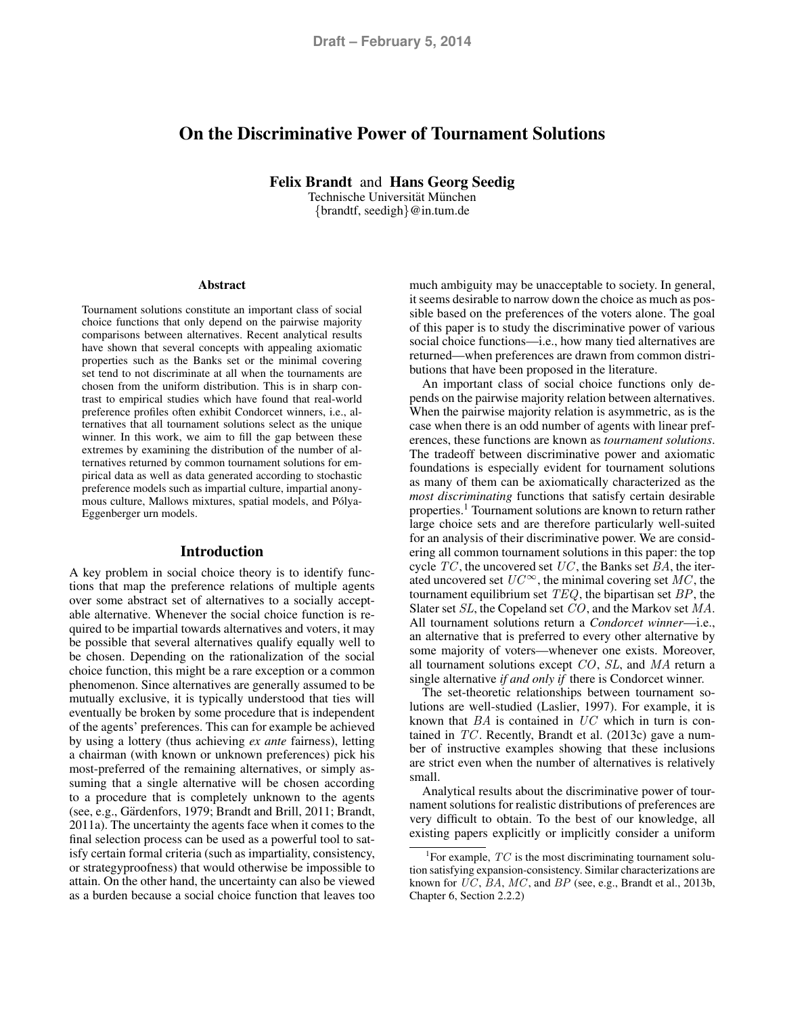# On the Discriminative Power of Tournament Solutions

Felix Brandt and Hans Georg Seedig

Technische Universität München {brandtf, seedigh}@in.tum.de

#### Abstract

Tournament solutions constitute an important class of social choice functions that only depend on the pairwise majority comparisons between alternatives. Recent analytical results have shown that several concepts with appealing axiomatic properties such as the Banks set or the minimal covering set tend to not discriminate at all when the tournaments are chosen from the uniform distribution. This is in sharp contrast to empirical studies which have found that real-world preference profiles often exhibit Condorcet winners, i.e., alternatives that all tournament solutions select as the unique winner. In this work, we aim to fill the gap between these extremes by examining the distribution of the number of alternatives returned by common tournament solutions for empirical data as well as data generated according to stochastic preference models such as impartial culture, impartial anonymous culture, Mallows mixtures, spatial models, and Pólya-Eggenberger urn models.

# Introduction

A key problem in social choice theory is to identify functions that map the preference relations of multiple agents over some abstract set of alternatives to a socially acceptable alternative. Whenever the social choice function is required to be impartial towards alternatives and voters, it may be possible that several alternatives qualify equally well to be chosen. Depending on the rationalization of the social choice function, this might be a rare exception or a common phenomenon. Since alternatives are generally assumed to be mutually exclusive, it is typically understood that ties will eventually be broken by some procedure that is independent of the agents' preferences. This can for example be achieved by using a lottery (thus achieving *ex ante* fairness), letting a chairman (with known or unknown preferences) pick his most-preferred of the remaining alternatives, or simply assuming that a single alternative will be chosen according to a procedure that is completely unknown to the agents (see, e.g., Gärdenfors, 1979; Brandt and Brill, 2011; Brandt, 2011a). The uncertainty the agents face when it comes to the final selection process can be used as a powerful tool to satisfy certain formal criteria (such as impartiality, consistency, or strategyproofness) that would otherwise be impossible to attain. On the other hand, the uncertainty can also be viewed as a burden because a social choice function that leaves too

much ambiguity may be unacceptable to society. In general, it seems desirable to narrow down the choice as much as possible based on the preferences of the voters alone. The goal of this paper is to study the discriminative power of various social choice functions—i.e., how many tied alternatives are returned—when preferences are drawn from common distributions that have been proposed in the literature.

An important class of social choice functions only depends on the pairwise majority relation between alternatives. When the pairwise majority relation is asymmetric, as is the case when there is an odd number of agents with linear preferences, these functions are known as *tournament solutions*. The tradeoff between discriminative power and axiomatic foundations is especially evident for tournament solutions as many of them can be axiomatically characterized as the *most discriminating* functions that satisfy certain desirable properties.<sup>1</sup> Tournament solutions are known to return rather large choice sets and are therefore particularly well-suited for an analysis of their discriminative power. We are considering all common tournament solutions in this paper: the top cycle  $TC$ , the uncovered set  $UC$ , the Banks set  $BA$ , the iterated uncovered set  $UC^{\infty}$ , the minimal covering set  $MC$ , the tournament equilibrium set  $TEQ$ , the bipartisan set  $BP$ , the Slater set SL, the Copeland set CO, and the Markov set MA. All tournament solutions return a *Condorcet winner*—i.e., an alternative that is preferred to every other alternative by some majority of voters—whenever one exists. Moreover, all tournament solutions except CO, SL, and MA return a single alternative *if and only if* there is Condorcet winner.

The set-theoretic relationships between tournament solutions are well-studied (Laslier, 1997). For example, it is known that BA is contained in UC which in turn is contained in  $TC$ . Recently, Brandt et al. (2013c) gave a number of instructive examples showing that these inclusions are strict even when the number of alternatives is relatively small.

Analytical results about the discriminative power of tournament solutions for realistic distributions of preferences are very difficult to obtain. To the best of our knowledge, all existing papers explicitly or implicitly consider a uniform

<sup>&</sup>lt;sup>1</sup>For example,  $TC$  is the most discriminating tournament solution satisfying expansion-consistency. Similar characterizations are known for UC, BA, MC, and BP (see, e.g., Brandt et al., 2013b, Chapter 6, Section 2.2.2)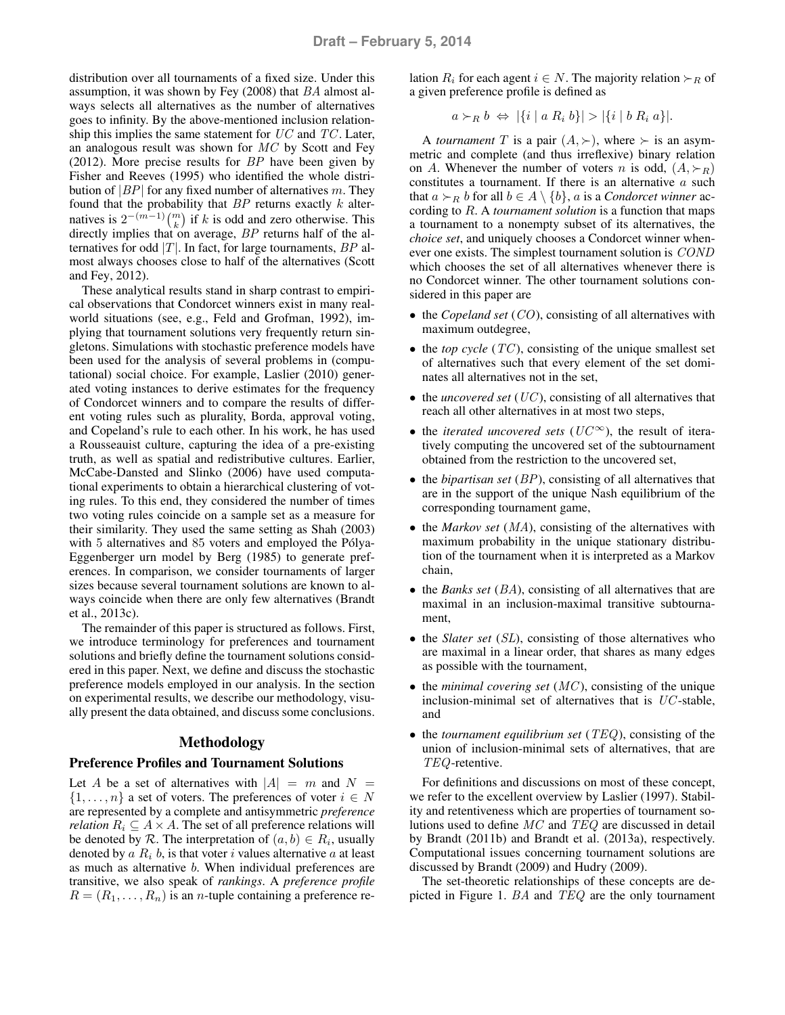distribution over all tournaments of a fixed size. Under this assumption, it was shown by Fey (2008) that BA almost always selects all alternatives as the number of alternatives goes to infinity. By the above-mentioned inclusion relationship this implies the same statement for  $UC$  and  $TC$ . Later, an analogous result was shown for  $MC$  by Scott and Fey (2012). More precise results for  $BP$  have been given by Fisher and Reeves (1995) who identified the whole distribution of  $|BP|$  for any fixed number of alternatives m. They found that the probability that  $BP$  returns exactly  $k$  alternatives is  $2^{-(m-1)} {m \choose k}$  if k is odd and zero otherwise. This directly implies that on average, BP returns half of the alternatives for odd  $|T|$ . In fact, for large tournaments,  $BP$  almost always chooses close to half of the alternatives (Scott and Fey, 2012).

These analytical results stand in sharp contrast to empirical observations that Condorcet winners exist in many realworld situations (see, e.g., Feld and Grofman, 1992), implying that tournament solutions very frequently return singletons. Simulations with stochastic preference models have been used for the analysis of several problems in (computational) social choice. For example, Laslier (2010) generated voting instances to derive estimates for the frequency of Condorcet winners and to compare the results of different voting rules such as plurality, Borda, approval voting, and Copeland's rule to each other. In his work, he has used a Rousseauist culture, capturing the idea of a pre-existing truth, as well as spatial and redistributive cultures. Earlier, McCabe-Dansted and Slinko (2006) have used computational experiments to obtain a hierarchical clustering of voting rules. To this end, they considered the number of times two voting rules coincide on a sample set as a measure for their similarity. They used the same setting as Shah (2003) with 5 alternatives and 85 voters and employed the Pólya-Eggenberger urn model by Berg (1985) to generate preferences. In comparison, we consider tournaments of larger sizes because several tournament solutions are known to always coincide when there are only few alternatives (Brandt et al., 2013c).

The remainder of this paper is structured as follows. First, we introduce terminology for preferences and tournament solutions and briefly define the tournament solutions considered in this paper. Next, we define and discuss the stochastic preference models employed in our analysis. In the section on experimental results, we describe our methodology, visually present the data obtained, and discuss some conclusions.

# Methodology

# Preference Profiles and Tournament Solutions

Let A be a set of alternatives with  $|A| = m$  and  $N =$  $\{1, \ldots, n\}$  a set of voters. The preferences of voter  $i \in N$ are represented by a complete and antisymmetric *preference relation*  $R_i \subseteq A \times A$ . The set of all preference relations will be denoted by  $R$ . The interpretation of  $(a, b) \in R_i$ , usually denoted by  $a R_i b$ , is that voter i values alternative  $a$  at least as much as alternative b. When individual preferences are transitive, we also speak of *rankings*. A *preference profile*  $R = (R_1, \ldots, R_n)$  is an *n*-tuple containing a preference relation  $R_i$  for each agent  $i \in N$ . The majority relation  $\succ_R$  of a given preference profile is defined as

$$
a \succ_R b \Leftrightarrow |\{i \mid a R_i b\}| > |\{i \mid b R_i a\}|.
$$

A *tournament* T is a pair  $(A, \succ)$ , where  $\succ$  is an asymmetric and complete (and thus irreflexive) binary relation on A. Whenever the number of voters n is odd,  $(A, \succ_R)$ constitutes a tournament. If there is an alternative  $a$  such that  $a \succ_R b$  for all  $b \in A \setminus \{b\}$ , a is a *Condorcet winner* according to R. A *tournament solution* is a function that maps a tournament to a nonempty subset of its alternatives, the *choice set*, and uniquely chooses a Condorcet winner whenever one exists. The simplest tournament solution is COND which chooses the set of all alternatives whenever there is no Condorcet winner. The other tournament solutions considered in this paper are

- the *Copeland set* (*CO*), consisting of all alternatives with maximum outdegree,
- $\bullet$  the *top cycle* (*TC*), consisting of the unique smallest set of alternatives such that every element of the set dominates all alternatives not in the set,
- the *uncovered set* (*UC*), consisting of all alternatives that reach all other alternatives in at most two steps,
- the *iterated uncovered sets* ( $UC^{\infty}$ ), the result of iteratively computing the uncovered set of the subtournament obtained from the restriction to the uncovered set,
- the *bipartisan set* (BP), consisting of all alternatives that are in the support of the unique Nash equilibrium of the corresponding tournament game,
- the *Markov set* (*MA*), consisting of the alternatives with maximum probability in the unique stationary distribution of the tournament when it is interpreted as a Markov chain,
- the *Banks set* (BA), consisting of all alternatives that are maximal in an inclusion-maximal transitive subtournament,
- the *Slater set* (*SL*), consisting of those alternatives who are maximal in a linear order, that shares as many edges as possible with the tournament,
- the *minimal covering set* (*MC*), consisting of the unique inclusion-minimal set of alternatives that is UC -stable, and
- the *tournament equilibrium set* (TEQ), consisting of the union of inclusion-minimal sets of alternatives, that are TEQ-retentive.

For definitions and discussions on most of these concept, we refer to the excellent overview by Laslier (1997). Stability and retentiveness which are properties of tournament solutions used to define MC and TEQ are discussed in detail by Brandt (2011b) and Brandt et al. (2013a), respectively. Computational issues concerning tournament solutions are discussed by Brandt (2009) and Hudry (2009).

The set-theoretic relationships of these concepts are depicted in Figure 1. BA and TEQ are the only tournament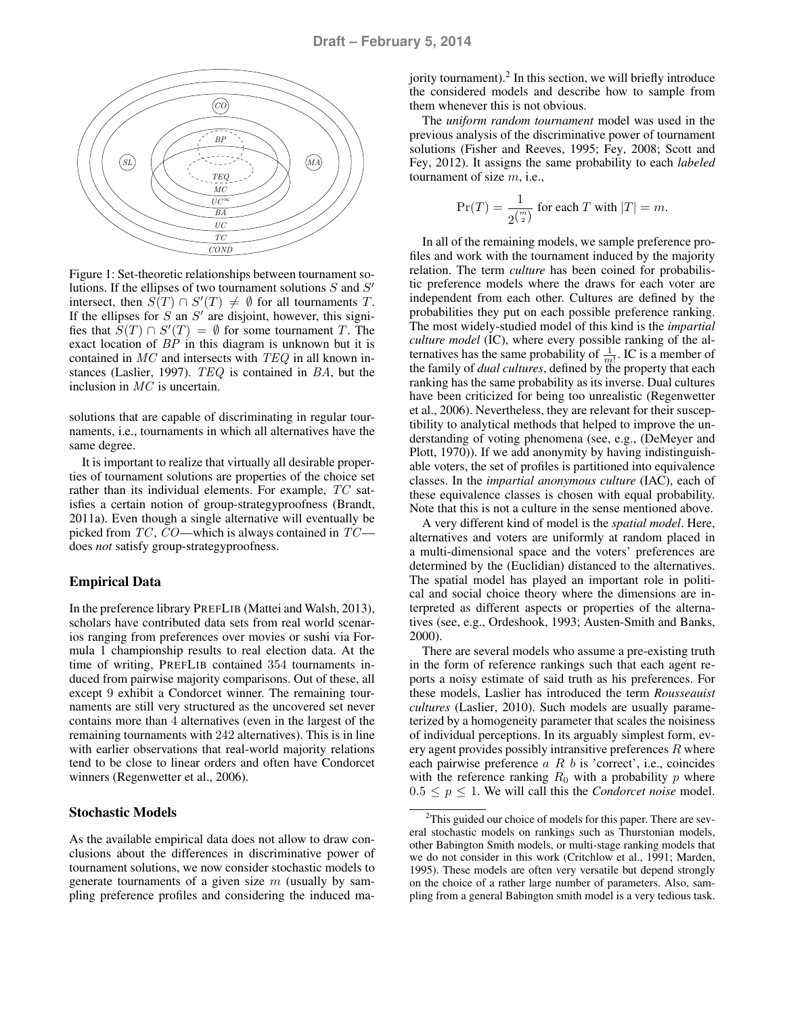

Figure 1: Set-theoretic relationships between tournament solutions. If the ellipses of two tournament solutions  $S$  and  $S'$ intersect, then  $S(T) \cap S'(T) \neq \emptyset$  for all tournaments T. If the ellipses for  $S$  an  $S'$  are disjoint, however, this signifies that  $S(T) \cap S'(T) = \emptyset$  for some tournament T. The exact location of BP in this diagram is unknown but it is contained in  $MC$  and intersects with  $TEQ$  in all known instances (Laslier, 1997). TEQ is contained in BA, but the inclusion in MC is uncertain.

solutions that are capable of discriminating in regular tournaments, i.e., tournaments in which all alternatives have the same degree.

It is important to realize that virtually all desirable properties of tournament solutions are properties of the choice set rather than its individual elements. For example, TC satisfies a certain notion of group-strategyproofness (Brandt, 2011a). Even though a single alternative will eventually be picked from  $TC$ ,  $CO$ —which is always contained in  $TC$  does *not* satisfy group-strategyproofness.

# Empirical Data

In the preference library PREFLIB (Mattei and Walsh, 2013), scholars have contributed data sets from real world scenarios ranging from preferences over movies or sushi via Formula 1 championship results to real election data. At the time of writing, PREFLIB contained 354 tournaments induced from pairwise majority comparisons. Out of these, all except 9 exhibit a Condorcet winner. The remaining tournaments are still very structured as the uncovered set never contains more than 4 alternatives (even in the largest of the remaining tournaments with 242 alternatives). This is in line with earlier observations that real-world majority relations tend to be close to linear orders and often have Condorcet winners (Regenwetter et al., 2006).

# Stochastic Models

As the available empirical data does not allow to draw conclusions about the differences in discriminative power of tournament solutions, we now consider stochastic models to generate tournaments of a given size  $m$  (usually by sampling preference profiles and considering the induced ma-

jority tournament). $^2$  In this section, we will briefly introduce the considered models and describe how to sample from them whenever this is not obvious.

The *uniform random tournament* model was used in the previous analysis of the discriminative power of tournament solutions (Fisher and Reeves, 1995; Fey, 2008; Scott and Fey, 2012). It assigns the same probability to each *labeled* tournament of size  $m$ , i.e.,

$$
\Pr(T) = \frac{1}{2^{\binom{m}{2}}} \text{ for each } T \text{ with } |T| = m.
$$

In all of the remaining models, we sample preference profiles and work with the tournament induced by the majority relation. The term *culture* has been coined for probabilistic preference models where the draws for each voter are independent from each other. Cultures are defined by the probabilities they put on each possible preference ranking. The most widely-studied model of this kind is the *impartial culture model* (IC), where every possible ranking of the alternatives has the same probability of  $\frac{1}{m!}$ . IC is a member of the family of *dual cultures*, defined by the property that each ranking has the same probability as its inverse. Dual cultures have been criticized for being too unrealistic (Regenwetter et al., 2006). Nevertheless, they are relevant for their susceptibility to analytical methods that helped to improve the understanding of voting phenomena (see, e.g., (DeMeyer and Plott, 1970)). If we add anonymity by having indistinguishable voters, the set of profiles is partitioned into equivalence classes. In the *impartial anonymous culture* (IAC), each of these equivalence classes is chosen with equal probability. Note that this is not a culture in the sense mentioned above.

A very different kind of model is the *spatial model*. Here, alternatives and voters are uniformly at random placed in a multi-dimensional space and the voters' preferences are determined by the (Euclidian) distanced to the alternatives. The spatial model has played an important role in political and social choice theory where the dimensions are interpreted as different aspects or properties of the alternatives (see, e.g., Ordeshook, 1993; Austen-Smith and Banks, 2000).

There are several models who assume a pre-existing truth in the form of reference rankings such that each agent reports a noisy estimate of said truth as his preferences. For these models, Laslier has introduced the term *Rousseauist cultures* (Laslier, 2010). Such models are usually parameterized by a homogeneity parameter that scales the noisiness of individual perceptions. In its arguably simplest form, every agent provides possibly intransitive preferences  $R$  where each pairwise preference  $a \, R \, b$  is 'correct', i.e., coincides with the reference ranking  $R_0$  with a probability p where  $0.5 \leq p \leq 1$ . We will call this the *Condorcet noise* model.

 $2$ This guided our choice of models for this paper. There are several stochastic models on rankings such as Thurstonian models, other Babington Smith models, or multi-stage ranking models that we do not consider in this work (Critchlow et al., 1991; Marden, 1995). These models are often very versatile but depend strongly on the choice of a rather large number of parameters. Also, sampling from a general Babington smith model is a very tedious task.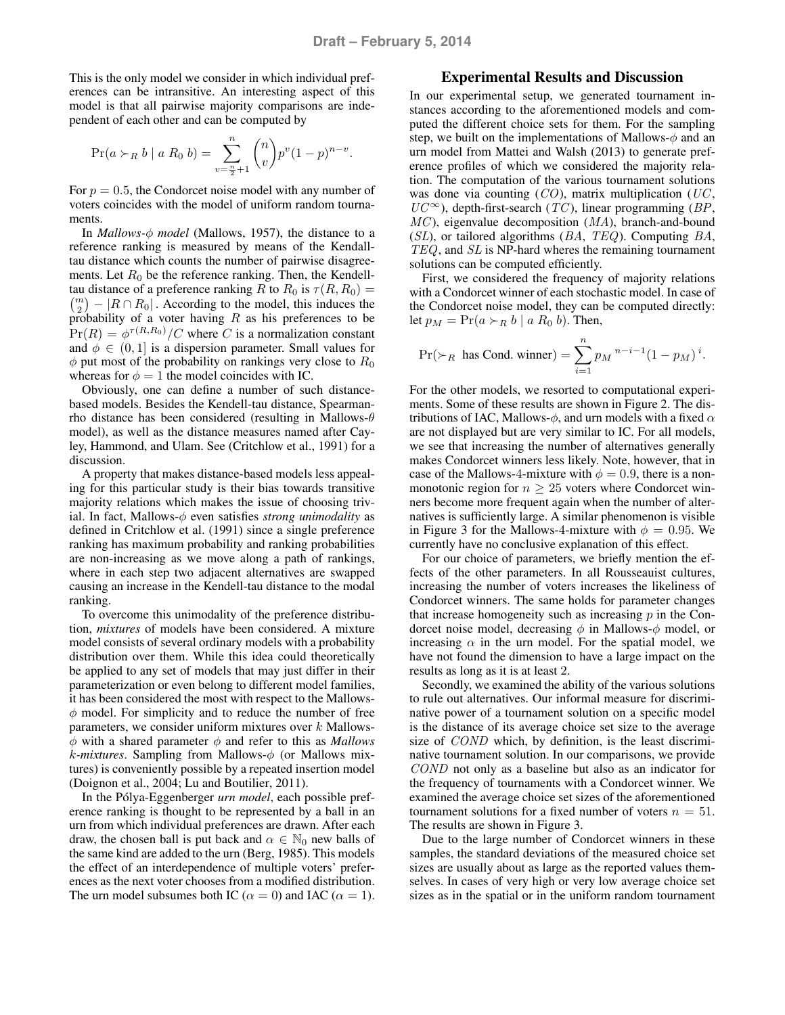This is the only model we consider in which individual preferences can be intransitive. An interesting aspect of this model is that all pairwise majority comparisons are independent of each other and can be computed by

$$
\Pr(a > R b \mid a R_0 b) = \sum_{v=\frac{n}{2}+1}^{n} {n \choose v} p^{v} (1-p)^{n-v}.
$$

For  $p = 0.5$ , the Condorcet noise model with any number of voters coincides with the model of uniform random tournaments.

In *Mallows-*φ *model* (Mallows, 1957), the distance to a reference ranking is measured by means of the Kendalltau distance which counts the number of pairwise disagreements. Let  $R_0$  be the reference ranking. Then, the Kendelltau distance of a preference ranking R to  $R_0$  is  $\tau(R, R_0) =$  $\binom{m}{2}$  –  $|R \cap R_0|$ . According to the model, this induces the probability of a voter having  $R$  as his preferences to be  $Pr(R) = \phi^{\tau(R,R_0)}/C$  where C is a normalization constant and  $\phi \in (0, 1]$  is a dispersion parameter. Small values for  $\phi$  put most of the probability on rankings very close to  $R_0$ whereas for  $\phi = 1$  the model coincides with IC.

Obviously, one can define a number of such distancebased models. Besides the Kendell-tau distance, Spearmanrho distance has been considered (resulting in Mallows- $\theta$ model), as well as the distance measures named after Cayley, Hammond, and Ulam. See (Critchlow et al., 1991) for a discussion.

A property that makes distance-based models less appealing for this particular study is their bias towards transitive majority relations which makes the issue of choosing trivial. In fact, Mallows-φ even satisfies *strong unimodality* as defined in Critchlow et al. (1991) since a single preference ranking has maximum probability and ranking probabilities are non-increasing as we move along a path of rankings, where in each step two adjacent alternatives are swapped causing an increase in the Kendell-tau distance to the modal ranking.

To overcome this unimodality of the preference distribution, *mixtures* of models have been considered. A mixture model consists of several ordinary models with a probability distribution over them. While this idea could theoretically be applied to any set of models that may just differ in their parameterization or even belong to different model families, it has been considered the most with respect to the Mallows- $\phi$  model. For simplicity and to reduce the number of free parameters, we consider uniform mixtures over  $k$  Mallows- $\phi$  with a shared parameter  $\phi$  and refer to this as *Mallows* k*-mixtures*. Sampling from Mallows-φ (or Mallows mixtures) is conveniently possible by a repeated insertion model (Doignon et al., 2004; Lu and Boutilier, 2011).

In the Pólya-Eggenberger *urn model*, each possible preference ranking is thought to be represented by a ball in an urn from which individual preferences are drawn. After each draw, the chosen ball is put back and  $\alpha \in \mathbb{N}_0$  new balls of the same kind are added to the urn (Berg, 1985). This models the effect of an interdependence of multiple voters' preferences as the next voter chooses from a modified distribution. The urn model subsumes both IC ( $\alpha = 0$ ) and IAC ( $\alpha = 1$ ).

# Experimental Results and Discussion

In our experimental setup, we generated tournament instances according to the aforementioned models and computed the different choice sets for them. For the sampling step, we built on the implementations of Mallows- $\phi$  and an urn model from Mattei and Walsh (2013) to generate preference profiles of which we considered the majority relation. The computation of the various tournament solutions was done via counting  $(CO)$ , matrix multiplication  $(UC,$  $UC^{\infty}$ ), depth-first-search (TC), linear programming (BP,  $MC$ ), eigenvalue decomposition  $(MA)$ , branch-and-bound  $(SL)$ , or tailored algorithms  $(BA, TEQ)$ . Computing  $BA$ , TEQ, and SL is NP-hard wheres the remaining tournament solutions can be computed efficiently.

First, we considered the frequency of majority relations with a Condorcet winner of each stochastic model. In case of the Condorcet noise model, they can be computed directly: let  $p_M = Pr(a \succ_R b \mid a R_0 b)$ . Then,

$$
\Pr(\succ_R \text{ has Cond. winner}) = \sum_{i=1}^n p_M^{n-i-1} (1 - p_M)^i.
$$

For the other models, we resorted to computational experiments. Some of these results are shown in Figure 2. The distributions of IAC, Mallows- $\phi$ , and urn models with a fixed  $\alpha$ are not displayed but are very similar to IC. For all models, we see that increasing the number of alternatives generally makes Condorcet winners less likely. Note, however, that in case of the Mallows-4-mixture with  $\phi = 0.9$ , there is a nonmonotonic region for  $n \geq 25$  voters where Condorcet winners become more frequent again when the number of alternatives is sufficiently large. A similar phenomenon is visible in Figure 3 for the Mallows-4-mixture with  $\phi = 0.95$ . We currently have no conclusive explanation of this effect.

For our choice of parameters, we briefly mention the effects of the other parameters. In all Rousseauist cultures, increasing the number of voters increases the likeliness of Condorcet winners. The same holds for parameter changes that increase homogeneity such as increasing  $p$  in the Condorcet noise model, decreasing  $\phi$  in Mallows- $\phi$  model, or increasing  $\alpha$  in the urn model. For the spatial model, we have not found the dimension to have a large impact on the results as long as it is at least 2.

Secondly, we examined the ability of the various solutions to rule out alternatives. Our informal measure for discriminative power of a tournament solution on a specific model is the distance of its average choice set size to the average size of *COND* which, by definition, is the least discriminative tournament solution. In our comparisons, we provide COND not only as a baseline but also as an indicator for the frequency of tournaments with a Condorcet winner. We examined the average choice set sizes of the aforementioned tournament solutions for a fixed number of voters  $n = 51$ . The results are shown in Figure 3.

Due to the large number of Condorcet winners in these samples, the standard deviations of the measured choice set sizes are usually about as large as the reported values themselves. In cases of very high or very low average choice set sizes as in the spatial or in the uniform random tournament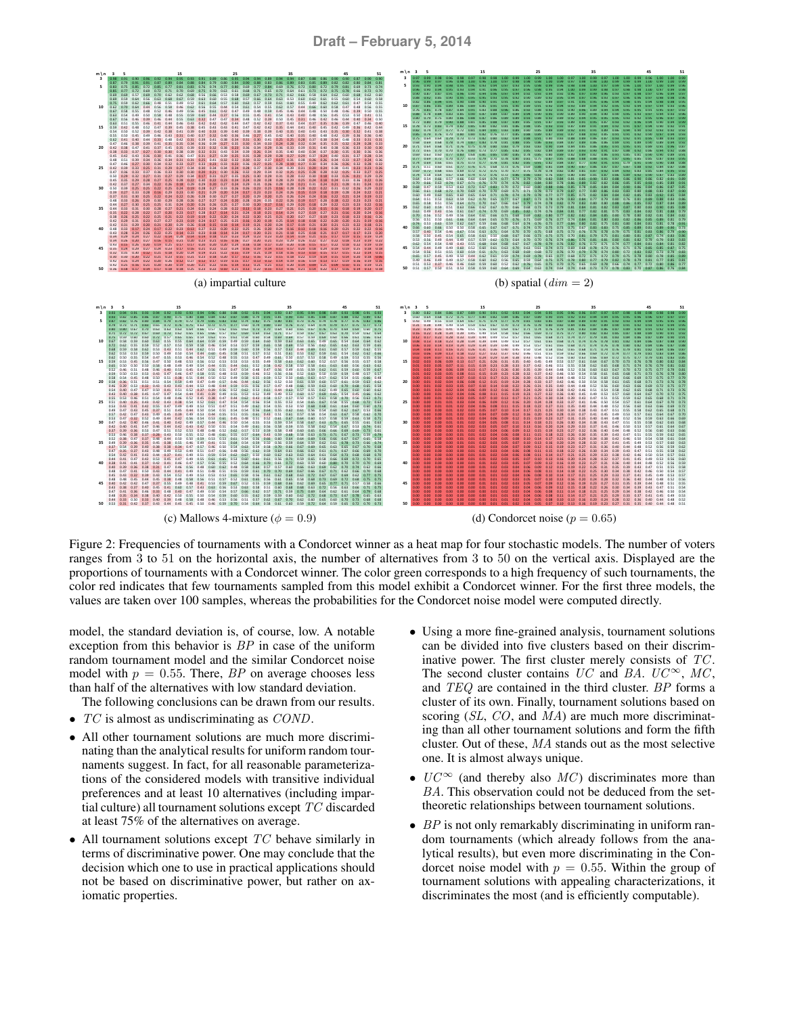

Figure 2: Frequencies of tournaments with a Condorcet winner as a heat map for four stochastic models. The number of voters ranges from 3 to 51 on the horizontal axis, the number of alternatives from 3 to 50 on the vertical axis. Displayed are the proportions of tournaments with a Condorcet winner. The color green corresponds to a high frequency of such tournaments, the color red indicates that few tournaments sampled from this model exhibit a Condorcet winner. For the first three models, the values are taken over 100 samples, whereas the probabilities for the Condorcet noise model were computed directly.

model, the standard deviation is, of course, low. A notable exception from this behavior is BP in case of the uniform random tournament model and the similar Condorcet noise model with  $p = 0.55$ . There, BP on average chooses less than half of the alternatives with low standard deviation.

The following conclusions can be drawn from our results.

- $TC$  is almost as undiscriminating as  $COND$ .
- All other tournament solutions are much more discriminating than the analytical results for uniform random tournaments suggest. In fact, for all reasonable parameterizations of the considered models with transitive individual preferences and at least 10 alternatives (including impartial culture) all tournament solutions except TC discarded at least 75% of the alternatives on average.
- All tournament solutions except  $TC$  behave similarly in terms of discriminative power. One may conclude that the decision which one to use in practical applications should not be based on discriminative power, but rather on axiomatic properties.
- Using a more fine-grained analysis, tournament solutions can be divided into five clusters based on their discriminative power. The first cluster merely consists of TC. The second cluster contains  $UC$  and BA.  $UC^{\infty}$ , MC, and TEQ are contained in the third cluster. BP forms a cluster of its own. Finally, tournament solutions based on scoring (SL, CO, and MA) are much more discriminating than all other tournament solutions and form the fifth cluster. Out of these, MA stands out as the most selective one. It is almost always unique.
- $UC^{\infty}$  (and thereby also  $MC$ ) discriminates more than BA. This observation could not be deduced from the settheoretic relationships between tournament solutions.
- $\bullet$  BP is not only remarkably discriminating in uniform random tournaments (which already follows from the analytical results), but even more discriminating in the Condorcet noise model with  $p = 0.55$ . Within the group of tournament solutions with appealing characterizations, it discriminates the most (and is efficiently computable).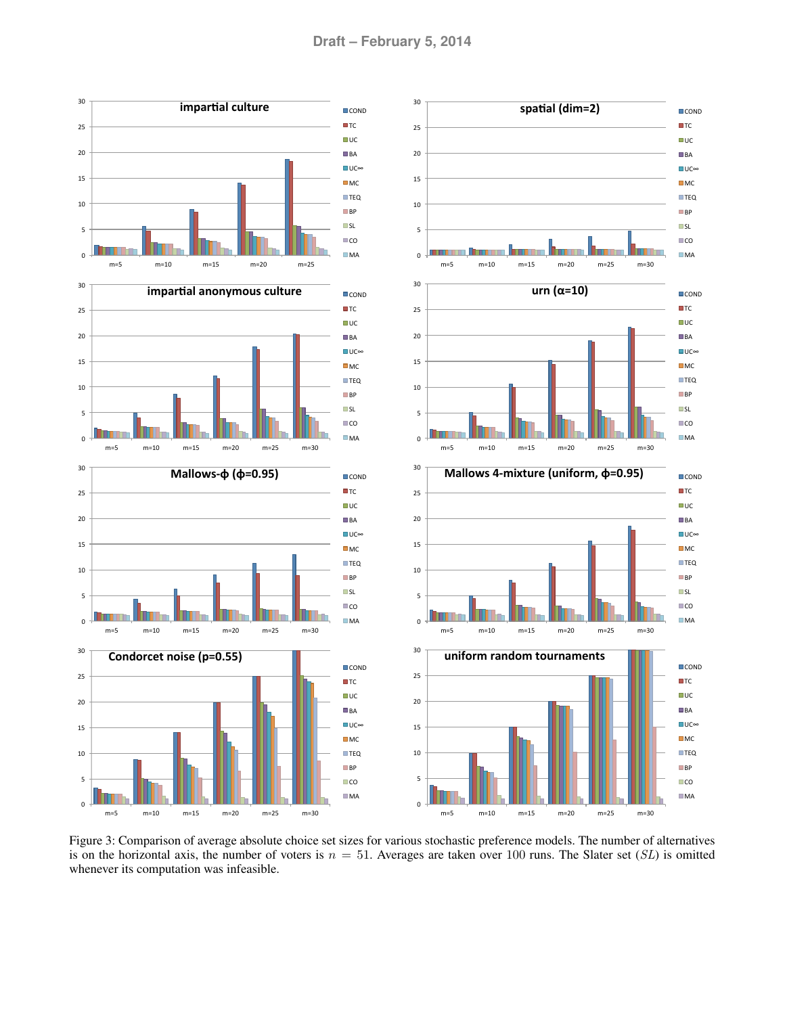

Figure 3: Comparison of average absolute choice set sizes for various stochastic preference models. The number of alternatives is on the horizontal axis, the number of voters is  $n = 51$ . Averages are taken over 100 runs. The Slater set (SL) is omitted whenever its computation was infeasible.